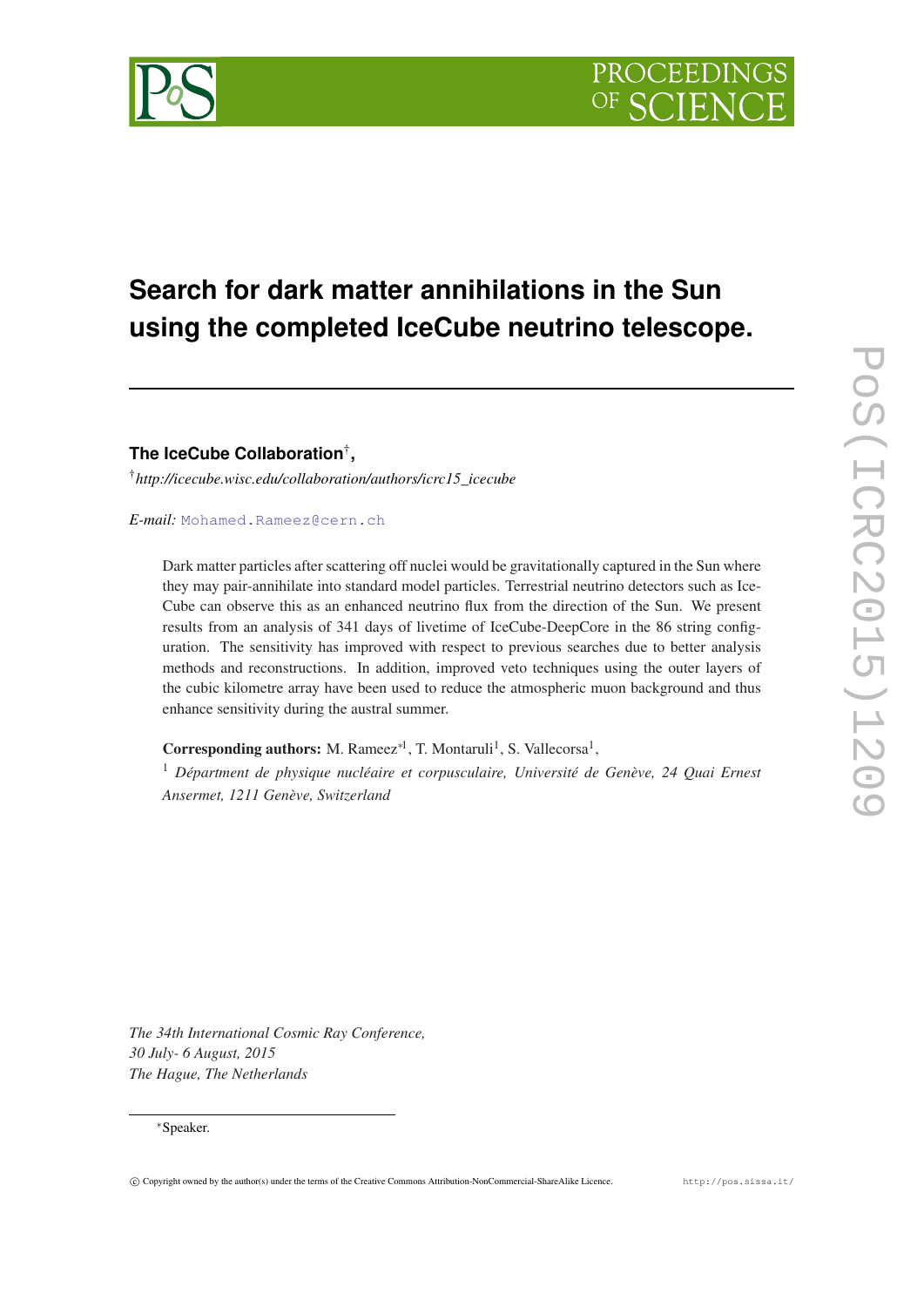# **Search for dark matter annihilations in the Sun using the completed IceCube neutrino telescope.**

**The IceCube Collaboration**† **,**

†*http://icecube.wisc.edu/collaboration/authors/icrc15\_icecube*

# *E-mail:* [Mohamed.Rameez@cern.ch](mailto:Mohamed.Rameez@cern.ch)

Dark matter particles after scattering off nuclei would be gravitationally captured in the Sun where they may pair-annihilate into standard model particles. Terrestrial neutrino detectors such as Ice-Cube can observe this as an enhanced neutrino flux from the direction of the Sun. We present results from an analysis of 341 days of livetime of IceCube-DeepCore in the 86 string configuration. The sensitivity has improved with respect to previous searches due to better analysis methods and reconstructions. In addition, improved veto techniques using the outer layers of the cubic kilometre array have been used to reduce the atmospheric muon background and thus enhance sensitivity during the austral summer.

Corresponding authors: M. Rameez<sup>∗1</sup>, T. Montaruli<sup>1</sup>, S. Vallecorsa<sup>1</sup>,

<sup>1</sup> *Départment de physique nucléaire et corpusculaire, Université de Genève, 24 Quai Ernest Ansermet, 1211 Genève, Switzerland*

*The 34th International Cosmic Ray Conference, 30 July- 6 August, 2015 The Hague, The Netherlands*

#### <sup>∗</sup>Speaker.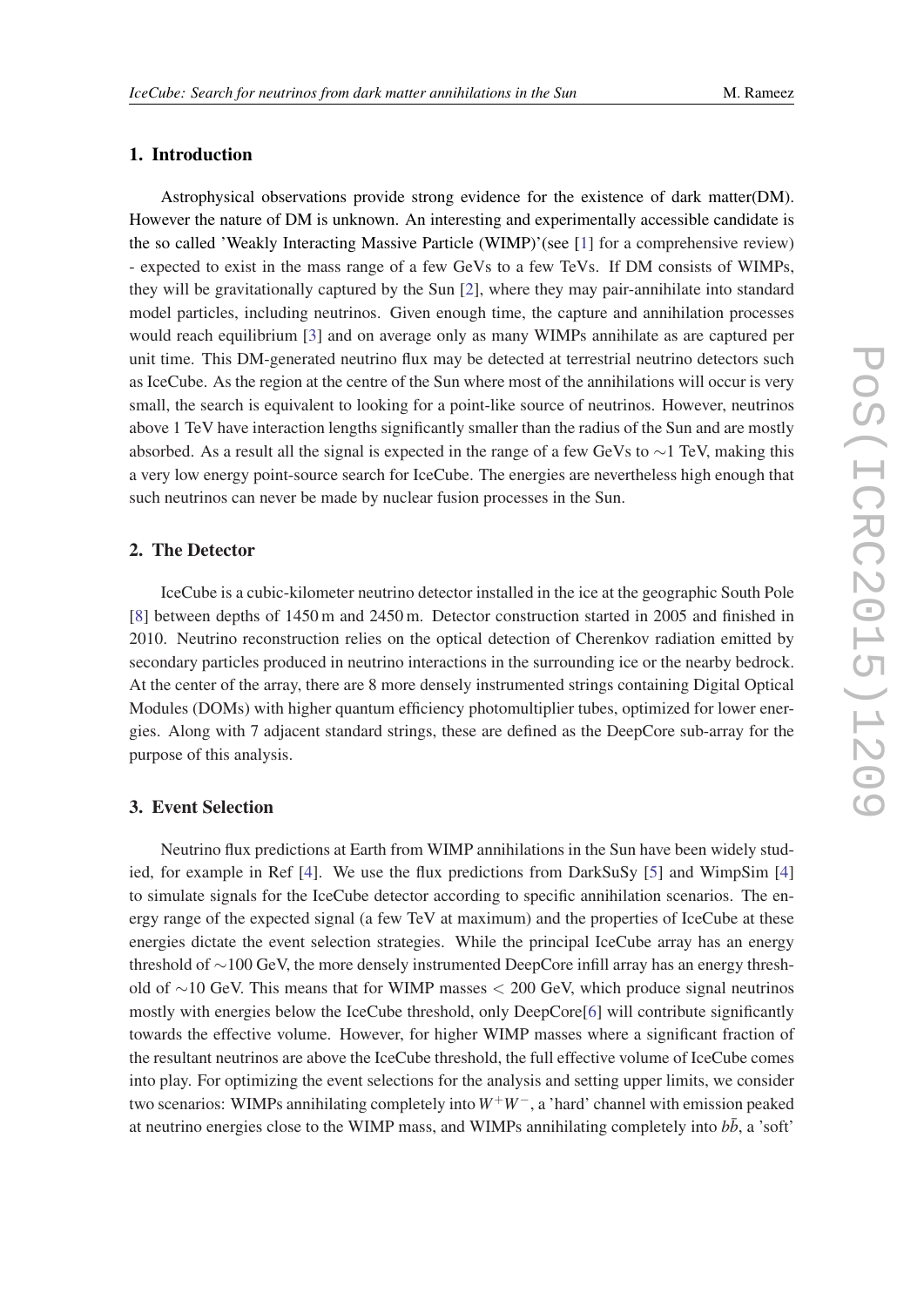# 1. Introduction

Astrophysical observations provide strong evidence for the existence of dark matter(DM). However the nature of DM is unknown. An interesting and experimentally accessible candidate is the so called 'Weakly Interacting Massive Particle (WIMP)'(see [[1](#page-6-0)] for a comprehensive review) - expected to exist in the mass range of a few GeVs to a few TeVs. If DM consists of WIMPs, they will be gravitationally captured by the Sun [[2](#page-6-0)], where they may pair-annihilate into standard model particles, including neutrinos. Given enough time, the capture and annihilation processes would reach equilibrium [[3](#page-6-0)] and on average only as many WIMPs annihilate as are captured per unit time. This DM-generated neutrino flux may be detected at terrestrial neutrino detectors such as IceCube. As the region at the centre of the Sun where most of the annihilations will occur is very small, the search is equivalent to looking for a point-like source of neutrinos. However, neutrinos above 1 TeV have interaction lengths significantly smaller than the radius of the Sun and are mostly absorbed. As a result all the signal is expected in the range of a few GeVs to ∼1 TeV, making this a very low energy point-source search for IceCube. The energies are nevertheless high enough that such neutrinos can never be made by nuclear fusion processes in the Sun.

# 2. The Detector

IceCube is a cubic-kilometer neutrino detector installed in the ice at the geographic South Pole [[8](#page-6-0)] between depths of 1450 m and 2450 m. Detector construction started in 2005 and finished in 2010. Neutrino reconstruction relies on the optical detection of Cherenkov radiation emitted by secondary particles produced in neutrino interactions in the surrounding ice or the nearby bedrock. At the center of the array, there are 8 more densely instrumented strings containing Digital Optical Modules (DOMs) with higher quantum efficiency photomultiplier tubes, optimized for lower energies. Along with 7 adjacent standard strings, these are defined as the DeepCore sub-array for the purpose of this analysis.

### 3. Event Selection

Neutrino flux predictions at Earth from WIMP annihilations in the Sun have been widely studied, for example in Ref [\[4\]](#page-6-0). We use the flux predictions from DarkSuSy [[5\]](#page-6-0) and WimpSim [[4](#page-6-0)] to simulate signals for the IceCube detector according to specific annihilation scenarios. The energy range of the expected signal (a few TeV at maximum) and the properties of IceCube at these energies dictate the event selection strategies. While the principal IceCube array has an energy threshold of ∼100 GeV, the more densely instrumented DeepCore infill array has an energy threshold of ∼10 GeV. This means that for WIMP masses < 200 GeV, which produce signal neutrinos mostly with energies below the IceCube threshold, only DeepCore[\[6](#page-6-0)] will contribute significantly towards the effective volume. However, for higher WIMP masses where a significant fraction of the resultant neutrinos are above the IceCube threshold, the full effective volume of IceCube comes into play. For optimizing the event selections for the analysis and setting upper limits, we consider two scenarios: WIMPs annihilating completely into *W*+*W*−, a 'hard' channel with emission peaked at neutrino energies close to the WIMP mass, and WIMPs annihilating completely into  $b\bar{b}$ , a 'soft'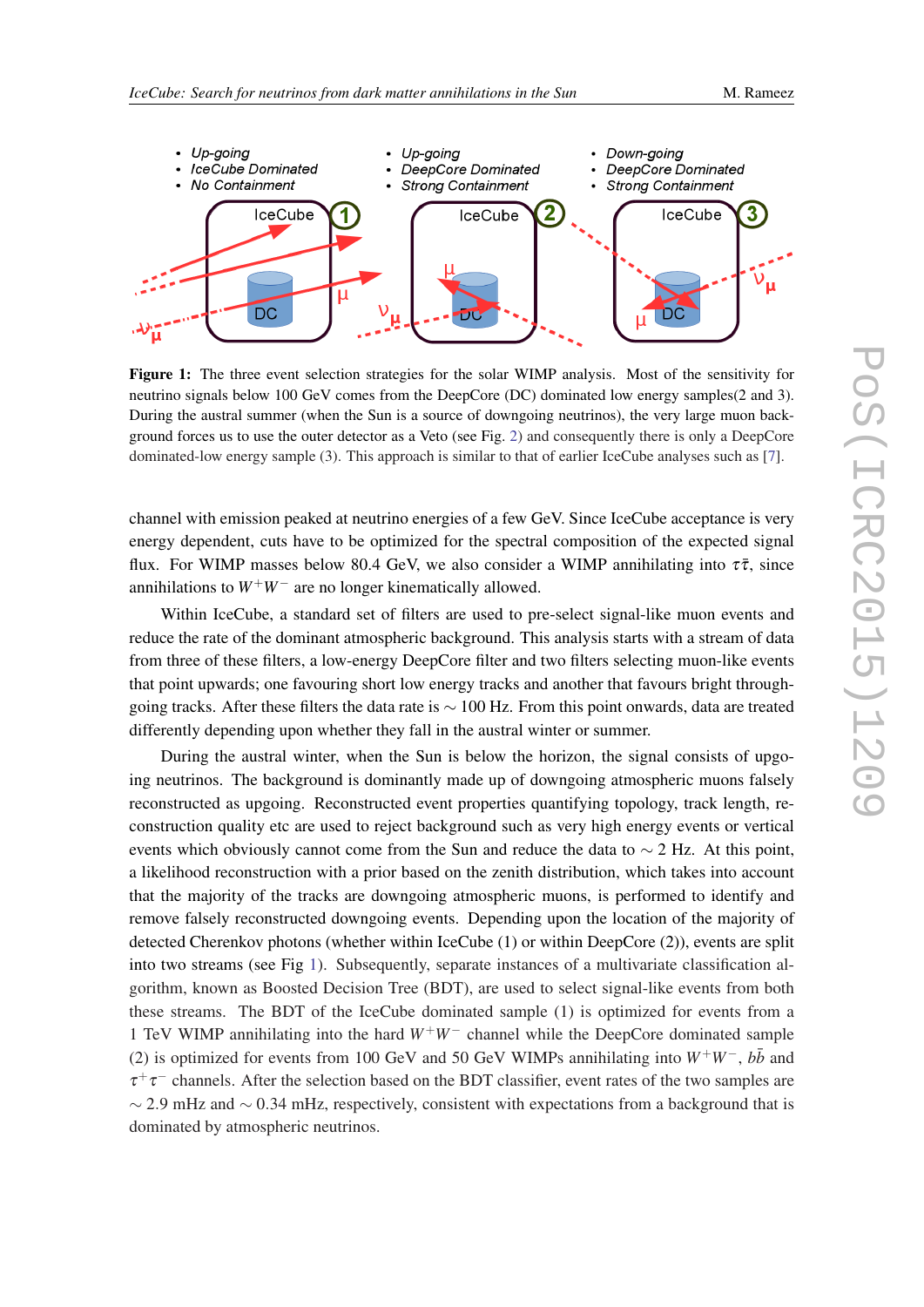

<span id="page-2-0"></span>

Figure 1: The three event selection strategies for the solar WIMP analysis. Most of the sensitivity for neutrino signals below 100 GeV comes from the DeepCore (DC) dominated low energy samples(2 and 3). During the austral summer (when the Sun is a source of downgoing neutrinos), the very large muon background forces us to use the outer detector as a Veto (see Fig. [2\)](#page-3-0) and consequently there is only a DeepCore dominated-low energy sample (3). This approach is similar to that of earlier IceCube analyses such as [[7\]](#page-6-0).

channel with emission peaked at neutrino energies of a few GeV. Since IceCube acceptance is very energy dependent, cuts have to be optimized for the spectral composition of the expected signal flux. For WIMP masses below 80.4 GeV, we also consider a WIMP annihilating into  $\tau\bar{\tau}$ , since annihilations to  $W^+W^-$  are no longer kinematically allowed.

Within IceCube, a standard set of filters are used to pre-select signal-like muon events and reduce the rate of the dominant atmospheric background. This analysis starts with a stream of data from three of these filters, a low-energy DeepCore filter and two filters selecting muon-like events that point upwards; one favouring short low energy tracks and another that favours bright throughgoing tracks. After these filters the data rate is ∼ 100 Hz. From this point onwards, data are treated differently depending upon whether they fall in the austral winter or summer.

During the austral winter, when the Sun is below the horizon, the signal consists of upgoing neutrinos. The background is dominantly made up of downgoing atmospheric muons falsely reconstructed as upgoing. Reconstructed event properties quantifying topology, track length, reconstruction quality etc are used to reject background such as very high energy events or vertical events which obviously cannot come from the Sun and reduce the data to  $\sim$  2 Hz. At this point, a likelihood reconstruction with a prior based on the zenith distribution, which takes into account that the majority of the tracks are downgoing atmospheric muons, is performed to identify and remove falsely reconstructed downgoing events. Depending upon the location of the majority of detected Cherenkov photons (whether within IceCube (1) or within DeepCore (2)), events are split into two streams (see Fig 1). Subsequently, separate instances of a multivariate classification algorithm, known as Boosted Decision Tree (BDT), are used to select signal-like events from both these streams. The BDT of the IceCube dominated sample (1) is optimized for events from a 1 TeV WIMP annihilating into the hard *W*+*W*<sup>−</sup> channel while the DeepCore dominated sample (2) is optimized for events from 100 GeV and 50 GeV WIMPs annihilating into  $W^+W^-$ ,  $b\bar{b}$  and  $\tau^+\tau^-$  channels. After the selection based on the BDT classifier, event rates of the two samples are  $\sim$  2.9 mHz and  $\sim$  0.34 mHz, respectively, consistent with expectations from a background that is dominated by atmospheric neutrinos.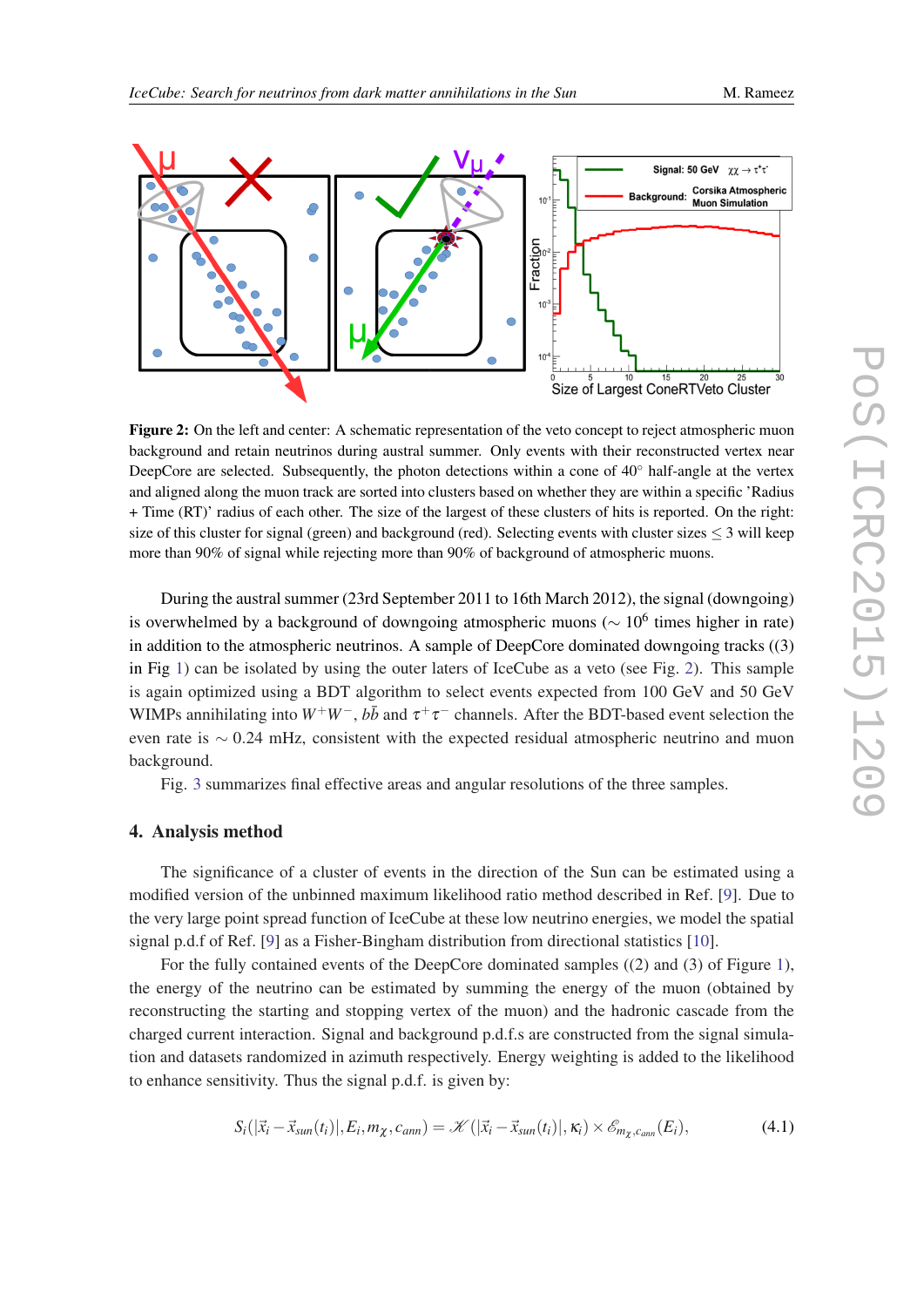

<span id="page-3-0"></span>

Figure 2: On the left and center: A schematic representation of the veto concept to reject atmospheric muon background and retain neutrinos during austral summer. Only events with their reconstructed vertex near DeepCore are selected. Subsequently, the photon detections within a cone of 40<sup>°</sup> half-angle at the vertex and aligned along the muon track are sorted into clusters based on whether they are within a specific 'Radius + Time (RT)' radius of each other. The size of the largest of these clusters of hits is reported. On the right: size of this cluster for signal (green) and background (red). Selecting events with cluster sizes  $\leq$  3 will keep more than 90% of signal while rejecting more than 90% of background of atmospheric muons.

During the austral summer (23rd September 2011 to 16th March 2012), the signal (downgoing) is overwhelmed by a background of downgoing atmospheric muons ( $\sim 10^6$  times higher in rate) in addition to the atmospheric neutrinos. A sample of DeepCore dominated downgoing tracks ((3) in Fig [1](#page-2-0)) can be isolated by using the outer laters of IceCube as a veto (see Fig. 2). This sample is again optimized using a BDT algorithm to select events expected from 100 GeV and 50 GeV WIMPs annihilating into  $W^+W^-, b\bar{b}$  and  $\tau^+\tau^-$  channels. After the BDT-based event selection the even rate is ∼ 0.24 mHz, consistent with the expected residual atmospheric neutrino and muon background.

Fig. [3](#page-4-0) summarizes final effective areas and angular resolutions of the three samples.

#### 4. Analysis method

The significance of a cluster of events in the direction of the Sun can be estimated using a modified version of the unbinned maximum likelihood ratio method described in Ref. [\[9\]](#page-6-0). Due to the very large point spread function of IceCube at these low neutrino energies, we model the spatial signal p.d.f of Ref. [[9\]](#page-6-0) as a Fisher-Bingham distribution from directional statistics [\[10](#page-6-0)].

For the fully contained events of the DeepCore dominated samples ((2) and (3) of Figure [1\)](#page-2-0), the energy of the neutrino can be estimated by summing the energy of the muon (obtained by reconstructing the starting and stopping vertex of the muon) and the hadronic cascade from the charged current interaction. Signal and background p.d.f.s are constructed from the signal simulation and datasets randomized in azimuth respectively. Energy weighting is added to the likelihood to enhance sensitivity. Thus the signal p.d.f. is given by:

$$
S_i(|\vec{x}_i - \vec{x}_{sun}(t_i)|, E_i, m_\chi, c_{ann}) = \mathcal{K}(|\vec{x}_i - \vec{x}_{sun}(t_i)|, \kappa_i) \times \mathcal{E}_{m_\chi, c_{ann}}(E_i),
$$
(4.1)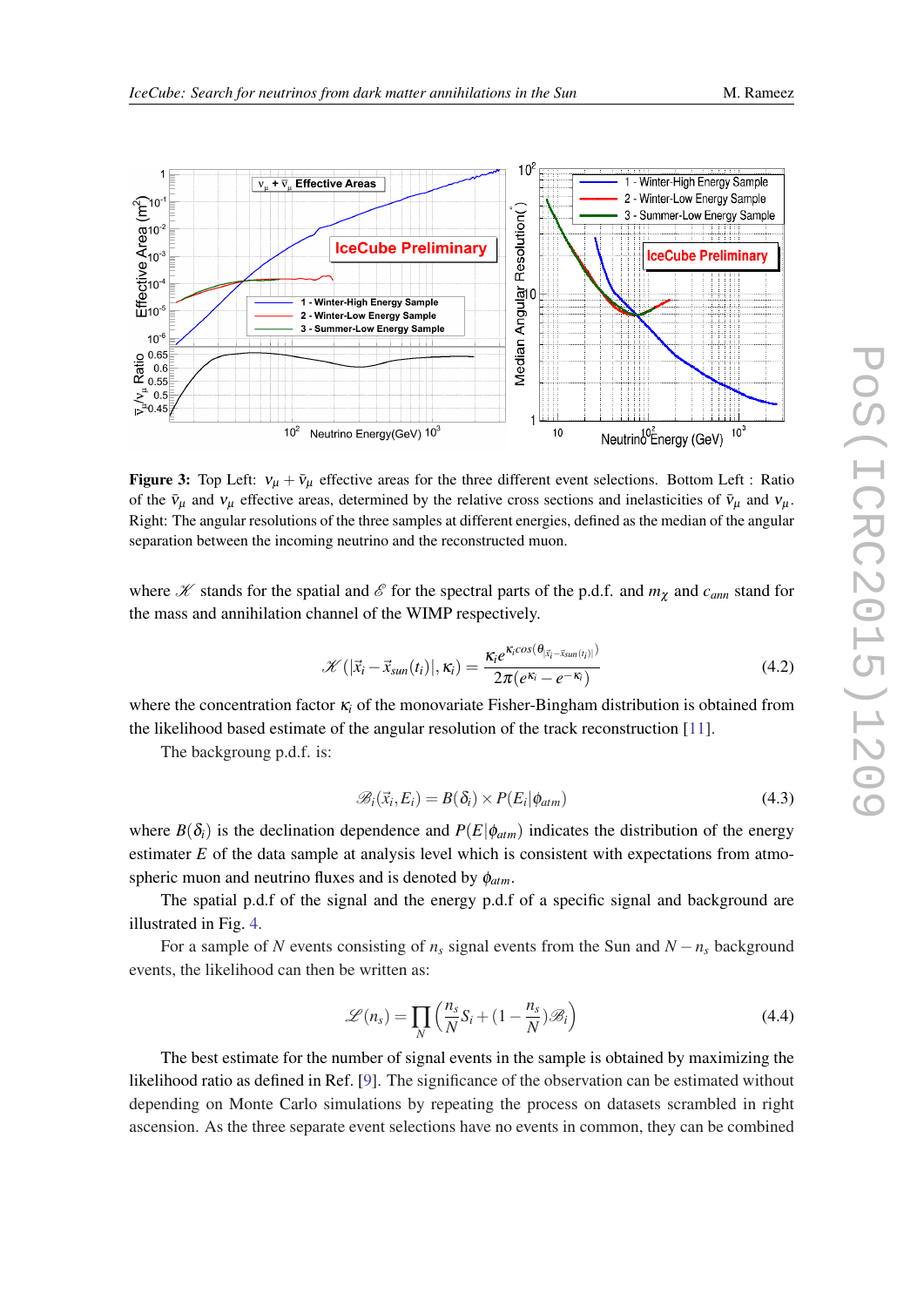<span id="page-4-0"></span>

Figure 3: Top Left:  $v_{\mu} + \bar{v}_{\mu}$  effective areas for the three different event selections. Bottom Left : Ratio of the  $\bar{v}_\mu$  and  $v_\mu$  effective areas, determined by the relative cross sections and inelasticities of  $\bar{v}_\mu$  and  $v_\mu$ . Right: The angular resolutions of the three samples at different energies, defined as the median of the angular separation between the incoming neutrino and the reconstructed muon.

where  $K$  stands for the spatial and  $\mathscr E$  for the spectral parts of the p.d.f. and  $m_\chi$  and  $c_{\text{ann}}$  stand for the mass and annihilation channel of the WIMP respectively.

$$
\mathcal{K}(|\vec{x}_i - \vec{x}_{sun}(t_i)|, \kappa_i) = \frac{\kappa_i e^{\kappa_i cos(\theta_{|\vec{x}_i - \vec{x}_{sun}(t_i)|})}}{2\pi(e^{\kappa_i} - e^{-\kappa_i})}
$$
(4.2)

where the concentration factor κ*<sup>i</sup>* of the monovariate Fisher-Bingham distribution is obtained from the likelihood based estimate of the angular resolution of the track reconstruction [[11\]](#page-6-0).

The backgroung p.d.f. is:

$$
\mathscr{B}_i(\vec{x}_i, E_i) = B(\delta_i) \times P(E_i | \phi_{atm}) \tag{4.3}
$$

where  $B(\delta_i)$  is the declination dependence and  $P(E|\phi_{atm})$  indicates the distribution of the energy estimater *E* of the data sample at analysis level which is consistent with expectations from atmospheric muon and neutrino fluxes and is denoted by φ*atm*.

The spatial p.d.f of the signal and the energy p.d.f of a specific signal and background are illustrated in Fig. [4](#page-5-0).

For a sample of *N* events consisting of  $n_s$  signal events from the Sun and  $N - n_s$  background events, the likelihood can then be written as:

$$
\mathcal{L}(n_s) = \prod_N \left( \frac{n_s}{N} S_i + (1 - \frac{n_s}{N}) \mathcal{B}_i \right)
$$
(4.4)

The best estimate for the number of signal events in the sample is obtained by maximizing the likelihood ratio as defined in Ref. [\[9\]](#page-6-0). The significance of the observation can be estimated without depending on Monte Carlo simulations by repeating the process on datasets scrambled in right ascension. As the three separate event selections have no events in common, they can be combined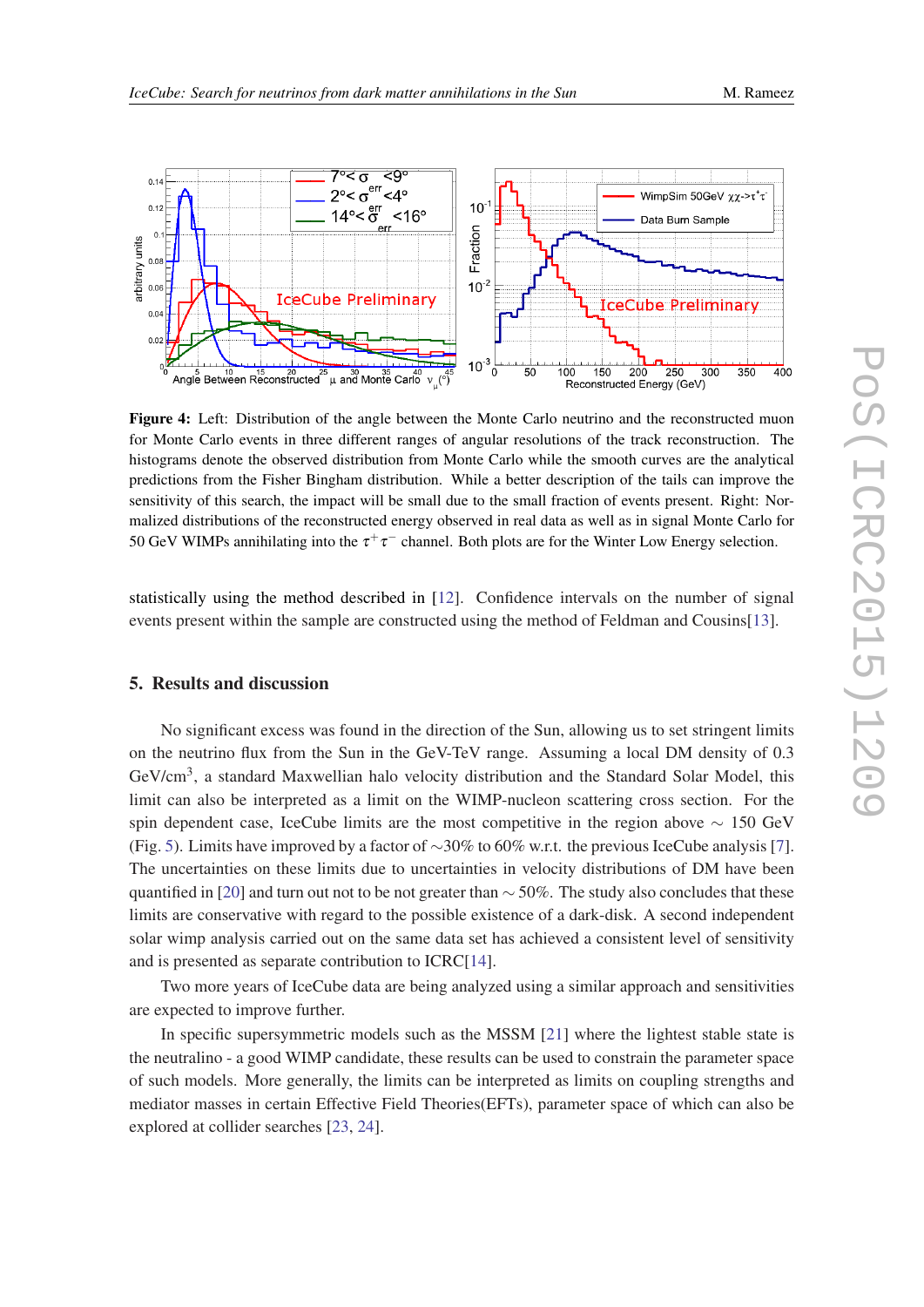<span id="page-5-0"></span>

Figure 4: Left: Distribution of the angle between the Monte Carlo neutrino and the reconstructed muon for Monte Carlo events in three different ranges of angular resolutions of the track reconstruction. The histograms denote the observed distribution from Monte Carlo while the smooth curves are the analytical predictions from the Fisher Bingham distribution. While a better description of the tails can improve the sensitivity of this search, the impact will be small due to the small fraction of events present. Right: Normalized distributions of the reconstructed energy observed in real data as well as in signal Monte Carlo for 50 GeV WIMPs annihilating into the  $\tau^+\tau^-$  channel. Both plots are for the Winter Low Energy selection.

statistically using the method described in [[12\]](#page-6-0). Confidence intervals on the number of signal events present within the sample are constructed using the method of Feldman and Cousins[[13\]](#page-6-0).

#### 5. Results and discussion

No significant excess was found in the direction of the Sun, allowing us to set stringent limits on the neutrino flux from the Sun in the GeV-TeV range. Assuming a local DM density of 0.3 GeV/cm<sup>3</sup>, a standard Maxwellian halo velocity distribution and the Standard Solar Model, this limit can also be interpreted as a limit on the WIMP-nucleon scattering cross section. For the spin dependent case, IceCube limits are the most competitive in the region above  $\sim 150$  GeV (Fig. [5\)](#page-6-0). Limits have improved by a factor of ∼30% to 60% w.r.t. the previous IceCube analysis [\[7\]](#page-6-0). The uncertainties on these limits due to uncertainties in velocity distributions of DM have been quantified in [[20\]](#page-7-0) and turn out not to be not greater than  $\sim$  50%. The study also concludes that these limits are conservative with regard to the possible existence of a dark-disk. A second independent solar wimp analysis carried out on the same data set has achieved a consistent level of sensitivity and is presented as separate contribution to ICRC[[14\]](#page-6-0).

Two more years of IceCube data are being analyzed using a similar approach and sensitivities are expected to improve further.

In specific supersymmetric models such as the MSSM [\[21](#page-7-0)] where the lightest stable state is the neutralino - a good WIMP candidate, these results can be used to constrain the parameter space of such models. More generally, the limits can be interpreted as limits on coupling strengths and mediator masses in certain Effective Field Theories(EFTs), parameter space of which can also be explored at collider searches [\[23,](#page-7-0) [24](#page-7-0)].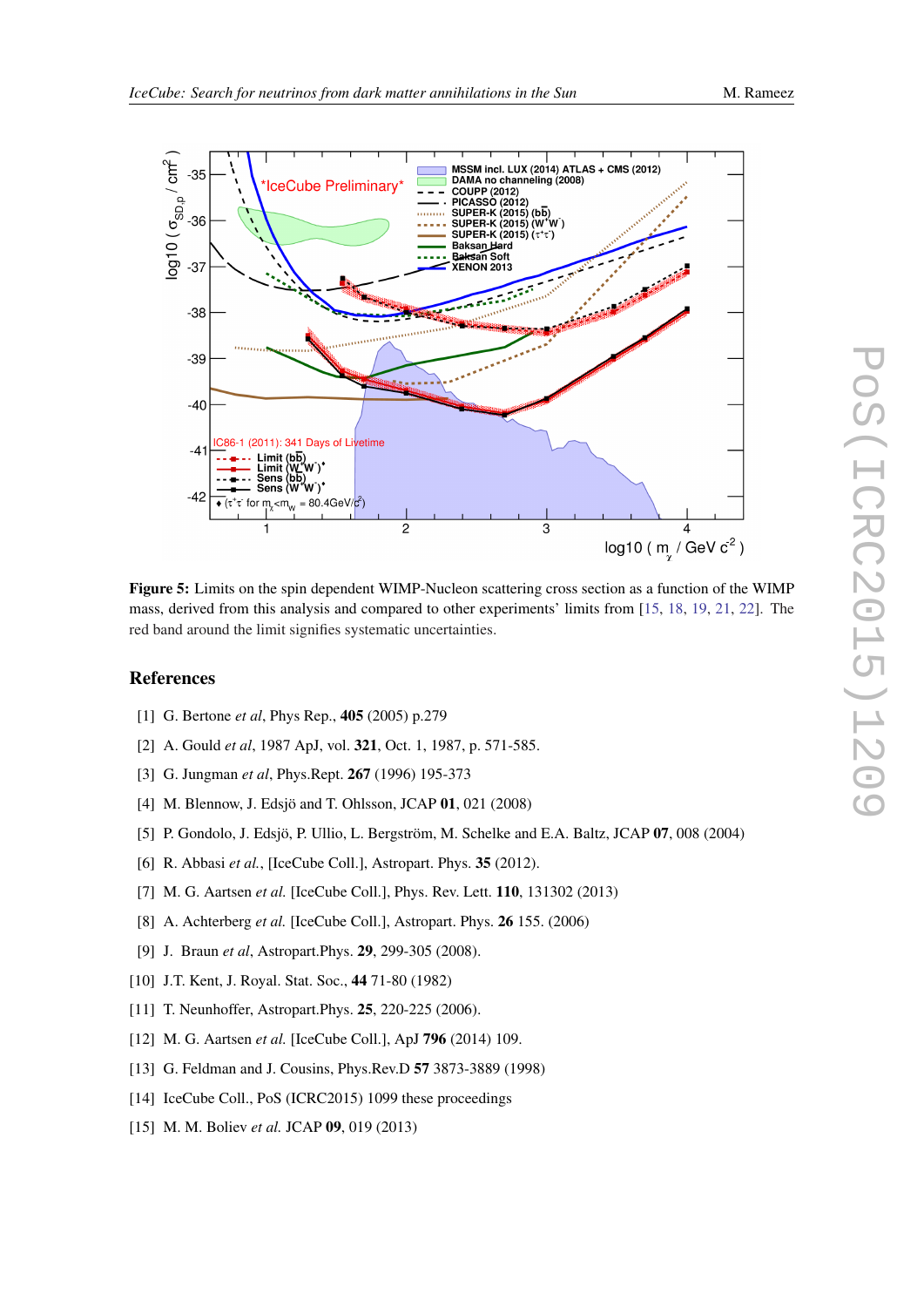

<span id="page-6-0"></span>

Figure 5: Limits on the spin dependent WIMP-Nucleon scattering cross section as a function of the WIMP mass, derived from this analysis and compared to other experiments' limits from [15, [18](#page-7-0), [19,](#page-7-0) [21](#page-7-0), [22](#page-7-0)]. The red band around the limit signifies systematic uncertainties.

# References

- [1] G. Bertone *et al*, Phys Rep., 405 (2005) p.279
- [2] A. Gould *et al*, 1987 ApJ, vol. 321, Oct. 1, 1987, p. 571-585.
- [3] G. Jungman *et al*, Phys.Rept. 267 (1996) 195-373
- [4] M. Blennow, J. Edsjö and T. Ohlsson, JCAP 01, 021 (2008)
- [5] P. Gondolo, J. Edsjö, P. Ullio, L. Bergström, M. Schelke and E.A. Baltz, JCAP 07, 008 (2004)
- [6] R. Abbasi *et al.*, [IceCube Coll.], Astropart. Phys. **35** (2012).
- [7] M. G. Aartsen *et al.* [IceCube Coll.], Phys. Rev. Lett. 110, 131302 (2013)
- [8] A. Achterberg *et al.* [IceCube Coll.], Astropart. Phys. 26 155. (2006)
- [9] J. Braun *et al*, Astropart.Phys. 29, 299-305 (2008).
- [10] J.T. Kent, J. Royal. Stat. Soc., 44 71-80 (1982)
- [11] T. Neunhoffer, Astropart.Phys. **25**, 220-225 (2006).
- [12] M. G. Aartsen *et al.* [IceCube Coll.], ApJ 796 (2014) 109.
- [13] G. Feldman and J. Cousins, Phys.Rev.D 57 3873-3889 (1998)
- [14] IceCube Coll., PoS (ICRC2015) 1099 these proceedings
- [15] M. M. Boliev *et al.* JCAP 09, 019 (2013)